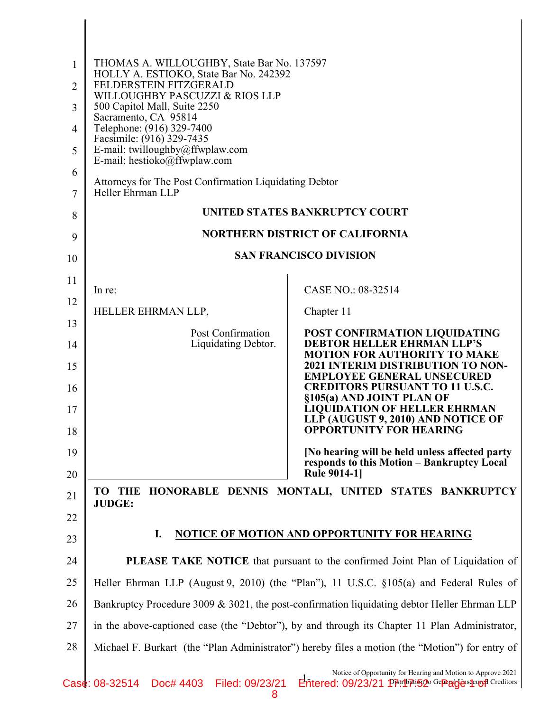| 1        | THOMAS A. WILLOUGHBY, State Bar No. 137597<br>HOLLY A. ESTIOKO, State Bar No. 242392            |                                                                                                                      |  |
|----------|-------------------------------------------------------------------------------------------------|----------------------------------------------------------------------------------------------------------------------|--|
| 2        | FELDERSTEIN FITZGERALD<br>WILLOUGHBY PASCUZZI & RIOS LLP                                        |                                                                                                                      |  |
| 3        | 500 Capitol Mall, Suite 2250<br>Sacramento, CA 95814                                            |                                                                                                                      |  |
| 4        | Telephone: (916) 329-7400<br>Facsimile: (916) 329-7435                                          |                                                                                                                      |  |
| 5        | E-mail: twilloughby@ffwplaw.com<br>E-mail: hestioko@ffwplaw.com                                 |                                                                                                                      |  |
| 6        | Attorneys for The Post Confirmation Liquidating Debtor                                          |                                                                                                                      |  |
| 7        | Heller Ehrman LLP                                                                               |                                                                                                                      |  |
| 8        | UNITED STATES BANKRUPTCY COURT                                                                  |                                                                                                                      |  |
| 9        | <b>NORTHERN DISTRICT OF CALIFORNIA</b>                                                          |                                                                                                                      |  |
| 10       |                                                                                                 | <b>SAN FRANCISCO DIVISION</b>                                                                                        |  |
| 11       | In re:                                                                                          | CASE NO.: 08-32514                                                                                                   |  |
| 12       | HELLER EHRMAN LLP,                                                                              | Chapter 11                                                                                                           |  |
| 13       | Post Confirmation                                                                               | POST CONFIRMATION LIQUIDATING                                                                                        |  |
| 14<br>15 | Liquidating Debtor.                                                                             | <b>DEBTOR HELLER EHRMAN LLP'S</b><br><b>MOTION FOR AUTHORITY TO MAKE</b><br><b>2021 INTERIM DISTRIBUTION TO NON-</b> |  |
| 16       |                                                                                                 | <b>EMPLOYEE GENERAL UNSECURED</b><br><b>CREDITORS PURSUANT TO 11 U.S.C.</b>                                          |  |
| 17       |                                                                                                 | §105(a) AND JOINT PLAN OF<br><b>LIQUIDATION OF HELLER EHRMAN</b><br>LLP (AUGUST 9, 2010) AND NOTICE OF               |  |
| 18       |                                                                                                 | <b>OPPORTUNITY FOR HEARING</b>                                                                                       |  |
| 19<br>20 |                                                                                                 | [No hearing will be held unless affected party<br>responds to this Motion - Bankruptcy Local<br><b>Rule 9014-11</b>  |  |
| 21       | HONORABLE DENNIS MONTALI, UNITED STATES BANKRUPTCY<br>TO<br><b>THE</b>                          |                                                                                                                      |  |
| 22       | <b>JUDGE:</b>                                                                                   |                                                                                                                      |  |
| 23       | <b>NOTICE OF MOTION AND OPPORTUNITY FOR HEARING</b><br>I.                                       |                                                                                                                      |  |
| 24       | <b>PLEASE TAKE NOTICE</b> that pursuant to the confirmed Joint Plan of Liquidation of           |                                                                                                                      |  |
| 25       | Heller Ehrman LLP (August 9, 2010) (the "Plan"), 11 U.S.C. §105(a) and Federal Rules of         |                                                                                                                      |  |
| 26       | Bankruptcy Procedure 3009 & 3021, the post-confirmation liquidating debtor Heller Ehrman LLP    |                                                                                                                      |  |
| 27       | in the above-captioned case (the "Debtor"), by and through its Chapter 11 Plan Administrator,   |                                                                                                                      |  |
| 28       | Michael F. Burkart (the "Plan Administrator") hereby files a motion (the "Motion") for entry of |                                                                                                                      |  |
|          |                                                                                                 | Notice of Opportunity for Hearing and Motion to Approve 2021                                                         |  |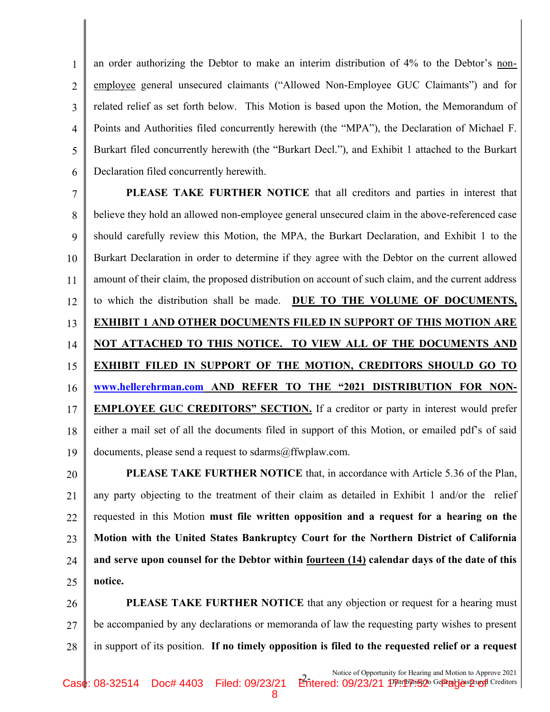1 2 3 4 5 6 an order authorizing the Debtor to make an interim distribution of 4% to the Debtor's nonemployee general unsecured claimants ("Allowed Non-Employee GUC Claimants") and for related relief as set forth below. This Motion is based upon the Motion, the Memorandum of Points and Authorities filed concurrently herewith (the "MPA"), the Declaration of Michael F. Burkart filed concurrently herewith (the "Burkart Decl."), and Exhibit 1 attached to the Burkart Declaration filed concurrently herewith.

7 8 9 10 11 12 13 14 15 16 17 18 19 PLEASE TAKE FURTHER NOTICE that all creditors and parties in interest that believe they hold an allowed non-employee general unsecured claim in the above-referenced case should carefully review this Motion, the MPA, the Burkart Declaration, and Exhibit 1 to the Burkart Declaration in order to determine if they agree with the Debtor on the current allowed amount of their claim, the proposed distribution on account of such claim, and the current address to which the distribution shall be made. DUE TO THE VOLUME OF DOCUMENTS, EXHIBIT 1 AND OTHER DOCUMENTS FILED IN SUPPORT OF THIS MOTION ARE NOT ATTACHED TO THIS NOTICE. TO VIEW ALL OF THE DOCUMENTS AND EXHIBIT FILED IN SUPPORT OF THE MOTION, CREDITORS SHOULD GO TO www.hellerehrman.com AND REFER TO THE "2021 DISTRIBUTION FOR NON-EMPLOYEE GUC CREDITORS" SECTION. If a creditor or party in interest would prefer either a mail set of all the documents filed in support of this Motion, or emailed pdf's of said documents, please send a request to sdarms@ffwplaw.com.

20 21 22 23 24 25 PLEASE TAKE FURTHER NOTICE that, in accordance with Article 5.36 of the Plan, any party objecting to the treatment of their claim as detailed in Exhibit 1 and/or the relief requested in this Motion must file written opposition and a request for a hearing on the Motion with the United States Bankruptcy Court for the Northern District of California and serve upon counsel for the Debtor within fourteen (14) calendar days of the date of this notice.

26 27 28 PLEASE TAKE FURTHER NOTICE that any objection or request for a hearing must be accompanied by any declarations or memoranda of law the requesting party wishes to present in support of its position. If no timely opposition is filed to the requested relief or a request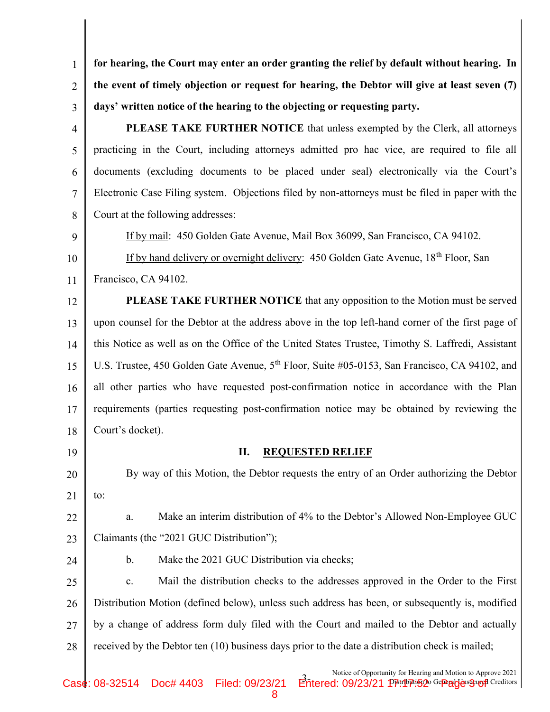1 2 3 for hearing, the Court may enter an order granting the relief by default without hearing. In the event of timely objection or request for hearing, the Debtor will give at least seven (7) days' written notice of the hearing to the objecting or requesting party.

- 4 5 6 7 8 PLEASE TAKE FURTHER NOTICE that unless exempted by the Clerk, all attorneys practicing in the Court, including attorneys admitted pro hac vice, are required to file all documents (excluding documents to be placed under seal) electronically via the Court's Electronic Case Filing system. Objections filed by non-attorneys must be filed in paper with the Court at the following addresses:
- 9 10 11 If by mail: 450 Golden Gate Avenue, Mail Box 36099, San Francisco, CA 94102. If by hand delivery or overnight delivery: 450 Golden Gate Avenue, 18<sup>th</sup> Floor, San Francisco, CA 94102.

12 13 14 15 16 17 18 PLEASE TAKE FURTHER NOTICE that any opposition to the Motion must be served upon counsel for the Debtor at the address above in the top left-hand corner of the first page of this Notice as well as on the Office of the United States Trustee, Timothy S. Laffredi, Assistant U.S. Trustee, 450 Golden Gate Avenue, 5<sup>th</sup> Floor, Suite #05-0153, San Francisco, CA 94102, and all other parties who have requested post-confirmation notice in accordance with the Plan requirements (parties requesting post-confirmation notice may be obtained by reviewing the Court's docket).

19

## II. REQUESTED RELIEF

20 21 By way of this Motion, the Debtor requests the entry of an Order authorizing the Debtor to:

22 23 a. Make an interim distribution of 4% to the Debtor's Allowed Non-Employee GUC Claimants (the "2021 GUC Distribution");

24 25 26 27 28 b. Make the 2021 GUC Distribution via checks; c. Mail the distribution checks to the addresses approved in the Order to the First Distribution Motion (defined below), unless such address has been, or subsequently is, modified by a change of address form duly filed with the Court and mailed to the Debtor and actually received by the Debtor ten (10) business days prior to the date a distribution check is mailed;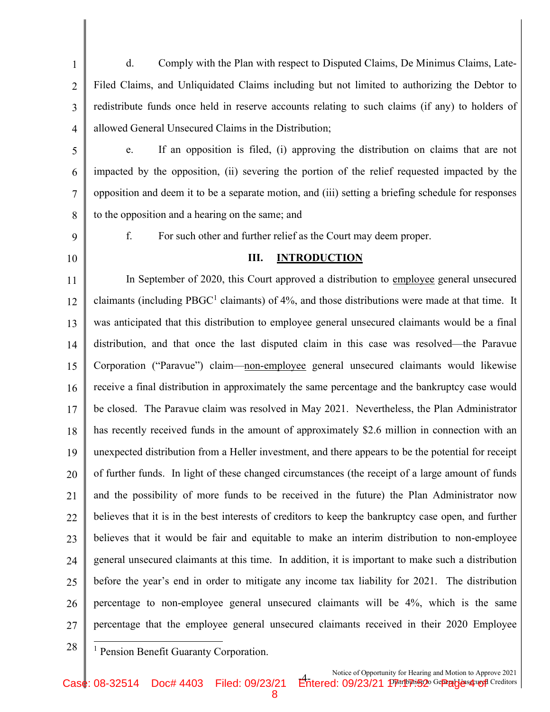1 2 3 4 d. Comply with the Plan with respect to Disputed Claims, De Minimus Claims, Late-Filed Claims, and Unliquidated Claims including but not limited to authorizing the Debtor to redistribute funds once held in reserve accounts relating to such claims (if any) to holders of allowed General Unsecured Claims in the Distribution;

- 5 6 7 8 e. If an opposition is filed, (i) approving the distribution on claims that are not impacted by the opposition, (ii) severing the portion of the relief requested impacted by the opposition and deem it to be a separate motion, and (iii) setting a briefing schedule for responses to the opposition and a hearing on the same; and
- 9
- 10

## III. INTRODUCTION

f. For such other and further relief as the Court may deem proper.

11 12 13 14 15 16 17 18 19 20 21 22 23 24 25 26 27 In September of 2020, this Court approved a distribution to employee general unsecured claimants (including  $PBGC<sup>1</sup>$  claimants) of 4%, and those distributions were made at that time. It was anticipated that this distribution to employee general unsecured claimants would be a final distribution, and that once the last disputed claim in this case was resolved—the Paravue Corporation ("Paravue") claim—non-employee general unsecured claimants would likewise receive a final distribution in approximately the same percentage and the bankruptcy case would be closed. The Paravue claim was resolved in May 2021. Nevertheless, the Plan Administrator has recently received funds in the amount of approximately \$2.6 million in connection with an unexpected distribution from a Heller investment, and there appears to be the potential for receipt of further funds. In light of these changed circumstances (the receipt of a large amount of funds and the possibility of more funds to be received in the future) the Plan Administrator now believes that it is in the best interests of creditors to keep the bankruptcy case open, and further believes that it would be fair and equitable to make an interim distribution to non-employee general unsecured claimants at this time. In addition, it is important to make such a distribution before the year's end in order to mitigate any income tax liability for 2021. The distribution percentage to non-employee general unsecured claimants will be 4%, which is the same percentage that the employee general unsecured claimants received in their 2020 Employee

8

28

<sup>1</sup> Pension Benefit Guaranty Corporation.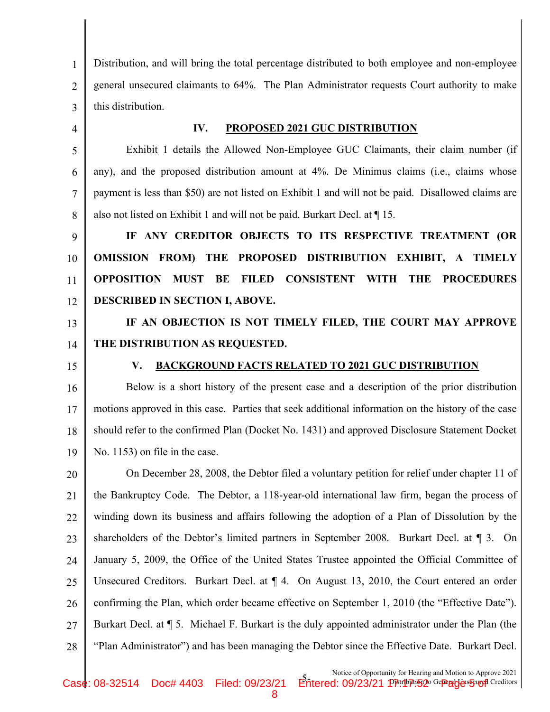1 2 3 Distribution, and will bring the total percentage distributed to both employee and non-employee general unsecured claimants to 64%. The Plan Administrator requests Court authority to make this distribution.

4

8

## IV. PROPOSED 2021 GUC DISTRIBUTION

5 6 7 Exhibit 1 details the Allowed Non-Employee GUC Claimants, their claim number (if any), and the proposed distribution amount at 4%. De Minimus claims (i.e., claims whose payment is less than \$50) are not listed on Exhibit 1 and will not be paid. Disallowed claims are also not listed on Exhibit 1 and will not be paid. Burkart Decl. at ¶ 15.

9 10 11 12 IF ANY CREDITOR OBJECTS TO ITS RESPECTIVE TREATMENT (OR OMISSION FROM) THE PROPOSED DISTRIBUTION EXHIBIT, A TIMELY OPPOSITION MUST BE FILED CONSISTENT WITH THE PROCEDURES DESCRIBED IN SECTION I, ABOVE.

13 14 IF AN OBJECTION IS NOT TIMELY FILED, THE COURT MAY APPROVE THE DISTRIBUTION AS REQUESTED.

15

## V. BACKGROUND FACTS RELATED TO 2021 GUC DISTRIBUTION

16 17 18 19 Below is a short history of the present case and a description of the prior distribution motions approved in this case. Parties that seek additional information on the history of the case should refer to the confirmed Plan (Docket No. 1431) and approved Disclosure Statement Docket No. 1153) on file in the case.

20 21 22 23 24 25 26 27 28 On December 28, 2008, the Debtor filed a voluntary petition for relief under chapter 11 of the Bankruptcy Code. The Debtor, a 118-year-old international law firm, began the process of winding down its business and affairs following the adoption of a Plan of Dissolution by the shareholders of the Debtor's limited partners in September 2008. Burkart Decl. at ¶ 3. On January 5, 2009, the Office of the United States Trustee appointed the Official Committee of Unsecured Creditors. Burkart Decl. at ¶ 4. On August 13, 2010, the Court entered an order confirming the Plan, which order became effective on September 1, 2010 (the "Effective Date"). Burkart Decl. at ¶ 5. Michael F. Burkart is the duly appointed administrator under the Plan (the "Plan Administrator") and has been managing the Debtor since the Effective Date. Burkart Decl.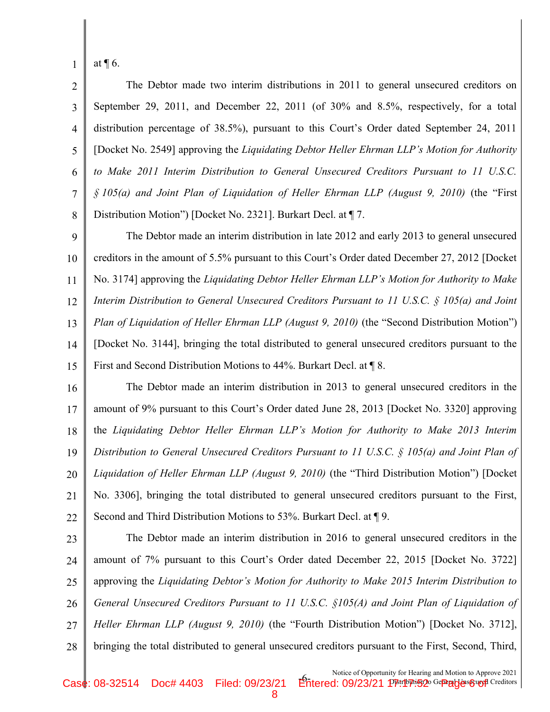at ¶ 6.

1

2 3 4 5 6 7 8 The Debtor made two interim distributions in 2011 to general unsecured creditors on September 29, 2011, and December 22, 2011 (of 30% and 8.5%, respectively, for a total distribution percentage of 38.5%), pursuant to this Court's Order dated September 24, 2011 [Docket No. 2549] approving the Liquidating Debtor Heller Ehrman LLP's Motion for Authority to Make 2011 Interim Distribution to General Unsecured Creditors Pursuant to 11 U.S.C.  $\S$  105(a) and Joint Plan of Liquidation of Heller Ehrman LLP (August 9, 2010) (the "First Distribution Motion") [Docket No. 2321]. Burkart Decl. at ¶ 7.

9 10 11 12 13 14 15 The Debtor made an interim distribution in late 2012 and early 2013 to general unsecured creditors in the amount of 5.5% pursuant to this Court's Order dated December 27, 2012 [Docket No. 3174] approving the Liquidating Debtor Heller Ehrman LLP's Motion for Authority to Make Interim Distribution to General Unsecured Creditors Pursuant to 11 U.S.C. § 105(a) and Joint Plan of Liquidation of Heller Ehrman LLP (August 9, 2010) (the "Second Distribution Motion") [Docket No. 3144], bringing the total distributed to general unsecured creditors pursuant to the First and Second Distribution Motions to 44%. Burkart Decl. at ¶ 8.

16 17 18 19 20 21 22 The Debtor made an interim distribution in 2013 to general unsecured creditors in the amount of 9% pursuant to this Court's Order dated June 28, 2013 [Docket No. 3320] approving the Liquidating Debtor Heller Ehrman LLP's Motion for Authority to Make 2013 Interim Distribution to General Unsecured Creditors Pursuant to 11 U.S.C. § 105(a) and Joint Plan of Liquidation of Heller Ehrman LLP (August 9, 2010) (the "Third Distribution Motion") [Docket No. 3306], bringing the total distributed to general unsecured creditors pursuant to the First, Second and Third Distribution Motions to 53%. Burkart Decl. at ¶ 9.

23 24 25 26 27 28 The Debtor made an interim distribution in 2016 to general unsecured creditors in the amount of 7% pursuant to this Court's Order dated December 22, 2015 [Docket No. 3722] approving the Liquidating Debtor's Motion for Authority to Make 2015 Interim Distribution to General Unsecured Creditors Pursuant to 11 U.S.C. §105(A) and Joint Plan of Liquidation of Heller Ehrman LLP (August 9, 2010) (the "Fourth Distribution Motion") [Docket No. 3712], bringing the total distributed to general unsecured creditors pursuant to the First, Second, Third,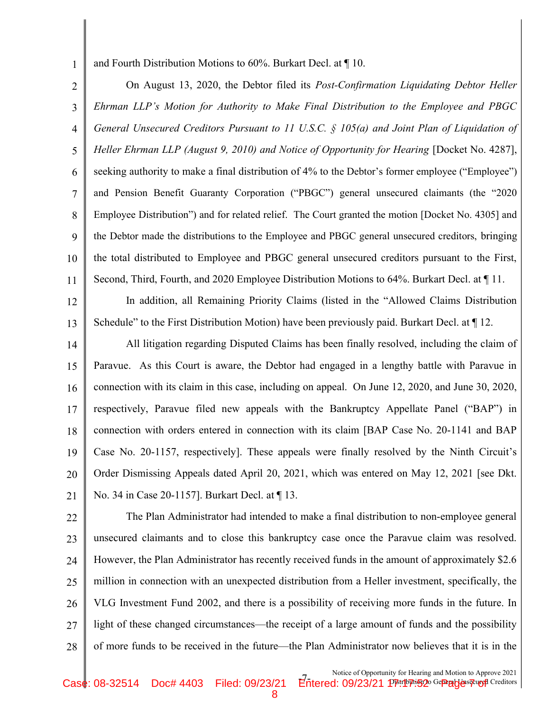and Fourth Distribution Motions to 60%. Burkart Decl. at ¶ 10.

1

2 3 4 5 6 7 8 9 10 11 On August 13, 2020, the Debtor filed its Post-Confirmation Liquidating Debtor Heller Ehrman LLP's Motion for Authority to Make Final Distribution to the Employee and PBGC General Unsecured Creditors Pursuant to 11 U.S.C. § 105(a) and Joint Plan of Liquidation of Heller Ehrman LLP (August 9, 2010) and Notice of Opportunity for Hearing [Docket No. 4287], seeking authority to make a final distribution of 4% to the Debtor's former employee ("Employee") and Pension Benefit Guaranty Corporation ("PBGC") general unsecured claimants (the "2020 Employee Distribution") and for related relief. The Court granted the motion [Docket No. 4305] and the Debtor made the distributions to the Employee and PBGC general unsecured creditors, bringing the total distributed to Employee and PBGC general unsecured creditors pursuant to the First, Second, Third, Fourth, and 2020 Employee Distribution Motions to 64%. Burkart Decl. at ¶ 11.

12 13 In addition, all Remaining Priority Claims (listed in the "Allowed Claims Distribution Schedule" to the First Distribution Motion) have been previously paid. Burkart Decl. at ¶ 12.

14 15 16 17 18 19 20 21 All litigation regarding Disputed Claims has been finally resolved, including the claim of Paravue. As this Court is aware, the Debtor had engaged in a lengthy battle with Paravue in connection with its claim in this case, including on appeal. On June 12, 2020, and June 30, 2020, respectively, Paravue filed new appeals with the Bankruptcy Appellate Panel ("BAP") in connection with orders entered in connection with its claim [BAP Case No. 20-1141 and BAP Case No. 20-1157, respectively]. These appeals were finally resolved by the Ninth Circuit's Order Dismissing Appeals dated April 20, 2021, which was entered on May 12, 2021 [see Dkt. No. 34 in Case 20-1157]. Burkart Decl. at ¶ 13.

22 23 24 25 26 27 28 The Plan Administrator had intended to make a final distribution to non-employee general unsecured claimants and to close this bankruptcy case once the Paravue claim was resolved. However, the Plan Administrator has recently received funds in the amount of approximately \$2.6 million in connection with an unexpected distribution from a Heller investment, specifically, the VLG Investment Fund 2002, and there is a possibility of receiving more funds in the future. In light of these changed circumstances—the receipt of a large amount of funds and the possibility of more funds to be received in the future—the Plan Administrator now believes that it is in the